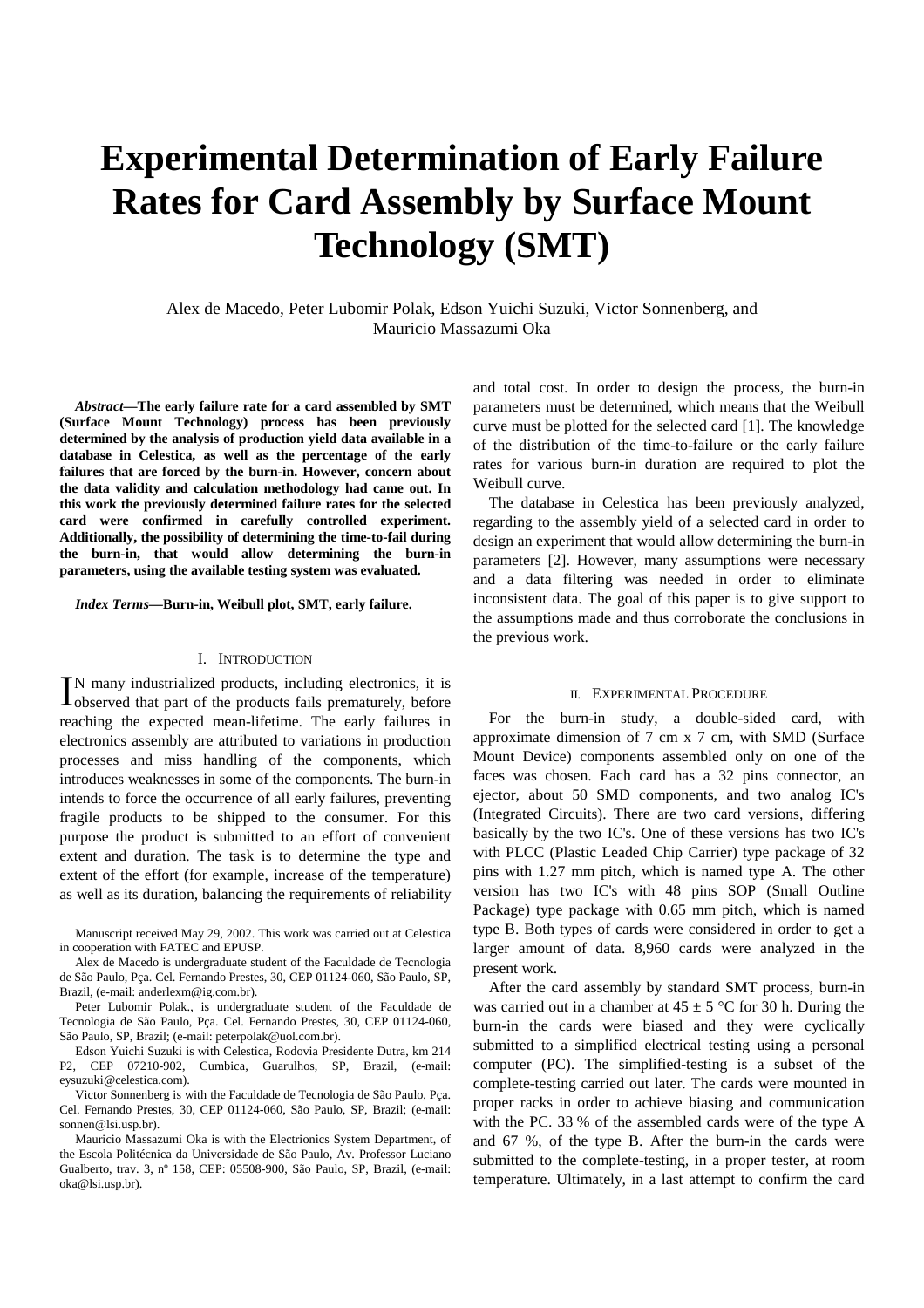# **Experimental Determination of Early Failure Rates for Card Assembly by Surface Mount Technology (SMT)**

Alex de Macedo, Peter Lubomir Polak, Edson Yuichi Suzuki, Victor Sonnenberg, and Mauricio Massazumi Oka

*Abstract***—The early failure rate for a card assembled by SMT (Surface Mount Technology) process has been previously determined by the analysis of production yield data available in a database in Celestica, as well as the percentage of the early failures that are forced by the burn-in. However, concern about the data validity and calculation methodology had came out. In this work the previously determined failure rates for the selected card were confirmed in carefully controlled experiment. Additionally, the possibility of determining the time-to-fail during the burn-in, that would allow determining the burn-in parameters, using the available testing system was evaluated.**

*Index Terms***—Burn-in, Weibull plot, SMT, early failure.**

## I. INTRODUCTION

N many industrialized products, including electronics, it is IN many industrialized products, including electronics, it is observed that part of the products fails prematurely, before reaching the expected mean-lifetime. The early failures in electronics assembly are attributed to variations in production processes and miss handling of the components, which introduces weaknesses in some of the components. The burn-in intends to force the occurrence of all early failures, preventing fragile products to be shipped to the consumer. For this purpose the product is submitted to an effort of convenient extent and duration. The task is to determine the type and extent of the effort (for example, increase of the temperature) as well as its duration, balancing the requirements of reliability

Manuscript received May 29, 2002. This work was carried out at Celestica in cooperation with FATEC and EPUSP.

Alex de Macedo is undergraduate student of the Faculdade de Tecnologia de São Paulo, Pça. Cel. Fernando Prestes, 30, CEP 01124-060, São Paulo, SP, Brazil, (e-mail: anderlexm@ig.com.br).

Peter Lubomir Polak., is undergraduate student of the Faculdade de Tecnologia de São Paulo, Pça. Cel. Fernando Prestes, 30, CEP 01124-060, São Paulo, SP, Brazil; (e-mail: peterpolak@uol.com.br).

Edson Yuichi Suzuki is with Celestica, Rodovia Presidente Dutra, km 214 P2, CEP 07210-902, Cumbica, Guarulhos, SP, Brazil, (e-mail: eysuzuki@celestica.com).

Victor Sonnenberg is with the Faculdade de Tecnologia de São Paulo, Pça. Cel. Fernando Prestes, 30, CEP 01124-060, São Paulo, SP, Brazil; (e-mail: sonnen@lsi.usp.br).

Mauricio Massazumi Oka is with the Electrionics System Department, of the Escola Politécnica da Universidade de São Paulo, Av. Professor Luciano Gualberto, trav. 3, nº 158, CEP: 05508-900, São Paulo, SP, Brazil, (e-mail: oka@lsi.usp.br).

and total cost. In order to design the process, the burn-in parameters must be determined, which means that the Weibull curve must be plotted for the selected card [1]. The knowledge of the distribution of the time-to-failure or the early failure rates for various burn-in duration are required to plot the Weibull curve.

The database in Celestica has been previously analyzed, regarding to the assembly yield of a selected card in order to design an experiment that would allow determining the burn-in parameters [2]. However, many assumptions were necessary and a data filtering was needed in order to eliminate inconsistent data. The goal of this paper is to give support to the assumptions made and thus corroborate the conclusions in the previous work.

#### II. EXPERIMENTAL PROCEDURE

For the burn-in study, a double-sided card, with approximate dimension of 7 cm x 7 cm, with SMD (Surface Mount Device) components assembled only on one of the faces was chosen. Each card has a 32 pins connector, an ejector, about 50 SMD components, and two analog IC's (Integrated Circuits). There are two card versions, differing basically by the two IC's. One of these versions has two IC's with PLCC (Plastic Leaded Chip Carrier) type package of 32 pins with 1.27 mm pitch, which is named type A. The other version has two IC's with 48 pins SOP (Small Outline Package) type package with 0.65 mm pitch, which is named type B. Both types of cards were considered in order to get a larger amount of data. 8,960 cards were analyzed in the present work.

After the card assembly by standard SMT process, burn-in was carried out in a chamber at  $45 \pm 5$  °C for 30 h. During the burn-in the cards were biased and they were cyclically submitted to a simplified electrical testing using a personal computer (PC). The simplified-testing is a subset of the complete-testing carried out later. The cards were mounted in proper racks in order to achieve biasing and communication with the PC. 33 % of the assembled cards were of the type A and 67 %, of the type B. After the burn-in the cards were submitted to the complete-testing, in a proper tester, at room temperature. Ultimately, in a last attempt to confirm the card